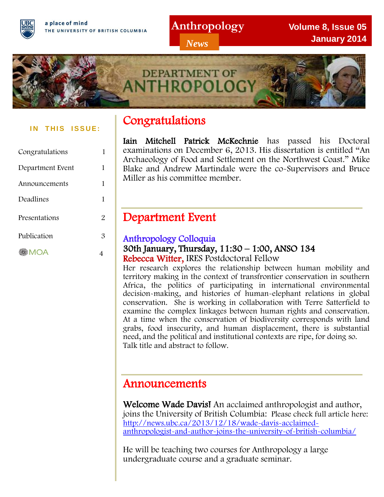a place of mind THE UNIVERSITY OF BRITISH COLUMBIA **Anthropology**

*News*

**Volume 8, Issue 05 January 2014**



#### **IN THIS ISSUE:**

| Congratulations  |   |
|------------------|---|
| Department Event | 1 |
| Announcements    | 1 |
| Deadlines        | 1 |
| Presentations    | 2 |
| Publication      | З |
| MOA              |   |

## Congratulations

Iain Mitchell Patrick McKechnie has passed his Doctoral examinations on December 6, 2013. His dissertation is entitled "An Archaeology of Food and Settlement on the Northwest Coast." Mike Blake and Andrew Martindale were the co-Supervisors and Bruce Miller as his committee member.

## Department Event

## Anthropology Colloquia

#### 30th January, Thursday, 11:30 – 1:00, ANSO 134 Rebecca Witter, IRES Postdoctoral Fellow

Her research explores the relationship between human mobility and territory making in the context of transfrontier conservation in southern Africa, the politics of participating in international environmental decision-making, and histories of human-elephant relations in global conservation. She is working in collaboration with Terre Satterfield to examine the complex linkages between human rights and conservation. At a time when the conservation of biodiversity corresponds with land grabs, food insecurity, and human displacement, there is substantial need, and the political and institutional contexts are ripe, for doing so. Talk title and abstract to follow.

## Announcements

Welcome Wade Davis! An acclaimed anthropologist and author, joins the University of British Columbia: Please check full article here: [http://news.ubc.ca/2013/12/18/wade-davis-acclaimed](http://news.ubc.ca/2013/12/18/wade-davis-acclaimed-anthropologist-and-author-joins-the-university-of-british-columbia/)[anthropologist-and-author-joins-the-university-of-british-columbia/](http://news.ubc.ca/2013/12/18/wade-davis-acclaimed-anthropologist-and-author-joins-the-university-of-british-columbia/)

He will be teaching two courses for Anthropology a large undergraduate course and a graduate seminar.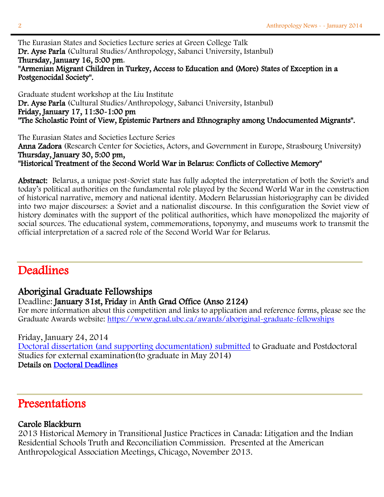The Eurasian States and Societies Lecture series at Green College Talk Dr. Ayse Parla (Cultural Studies/Anthropology, Sabanci University, Istanbul) Thursday, January 16, 5:00 pm. "Armenian Migrant Children in Turkey, Access to Education and (More) States of Exception in a Postgenocidal Society".

Graduate student workshop at the Liu Institute Dr. Ayse Parla (Cultural Studies/Anthropology, Sabanci University, Istanbul) Friday, January 17, 11:30-1:00 pm "The Scholastic Point of View, Epistemic Partners and Ethnography among Undocumented Migrants".

The Eurasian States and Societies Lecture Series Anna Zadora (Research Center for Societies, Actors, and Government in Europe, Strasbourg University) Thursday, January 30, 5:00 pm, "Historical Treatment of the Second World War in Belarus: Conflicts of Collective Memory"

Abstract: Belarus, a unique post-Soviet state has fully adopted the interpretation of both the Soviet's and today's political authorities on the fundamental role played by the Second World War in the construction of historical narrative, memory and national identity. Modern Belarussian historiography can be divided into two major discourses: a Soviet and a nationalist discourse. In this configuration the Soviet view of history dominates with the support of the political authorities, which have monopolized the majority of social sources. The educational system, commemorations, toponymy, and museums work to transmit the official interpretation of a sacred role of the Second World War for Belarus.

## **Deadlines**

#### Aboriginal Graduate Fellowships

#### Deadline: January 31st, Friday in Anth Grad Office (Anso 2124)

For more information about this competition and links to application and reference forms, please see the Graduate Awards website:<https://www.grad.ubc.ca/awards/aboriginal-graduate-fellowships>

Friday, January 24, 2014

[Doctoral dissertation \(and supporting documentation\) submitted](https://www.grad.ubc.ca/current-students/final-doctoral-exam/submitting-dissertation-external-examination) to Graduate and Postdoctoral Studies for external examination(to graduate in May 2014) Details on [Doctoral Deadlines](https://www.grad.ubc.ca/current-students/final-doctoral-exam/doctoral-deadlines) 

## Presentations

#### Carole Blackburn

2013 Historical Memory in Transitional Justice Practices in Canada: Litigation and the Indian Residential Schools Truth and Reconciliation Commission. Presented at the American Anthropological Association Meetings, Chicago, November 2013.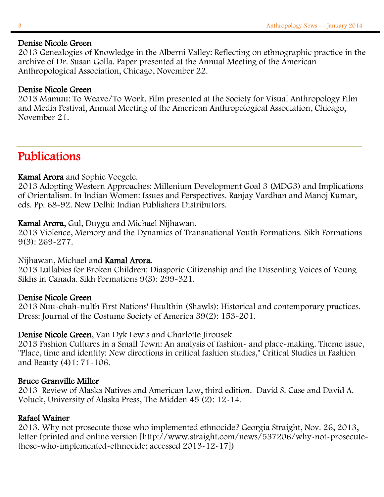#### Denise Nicole Green

2013 Genealogies of Knowledge in the Alberni Valley: Reflecting on ethnographic practice in the archive of Dr. Susan Golla. Paper presented at the Annual Meeting of the American Anthropological Association, Chicago, November 22.

#### Denise Nicole Green

2013 Mamuu: To Weave/To Work. Film presented at the Society for Visual Anthropology Film and Media Festival, Annual Meeting of the American Anthropological Association, Chicago, November 21.

## Publications

#### Kamal Arora and Sophie Voegele.

2013 Adopting Western Approaches: Millenium Development Goal 3 (MDG3) and Implications of Orientalism. In Indian Women: Issues and Perspectives. Ranjay Vardhan and Manoj Kumar, eds. Pp. 68-92. New Delhi: Indian Publishers Distributors.

#### Kamal Arora, Gul, Duygu and Michael Nijhawan.

2013 Violence, Memory and the Dynamics of Transnational Youth Formations. Sikh Formations 9(3): 269-277.

#### Nijhawan, Michael and Kamal Arora.

2013 Lullabies for Broken Children: Diasporic Citizenship and the Dissenting Voices of Young Sikhs in Canada. Sikh Formations 9(3): 299-321.

#### Denise Nicole Green

2013 Nuu-chah-nulth First Nations' Huulthin (Shawls): Historical and contemporary practices. Dress: Journal of the Costume Society of America 39(2): 153-201.

#### Denise Nicole Green, Van Dyk Lewis and Charlotte Jirousek

2013 Fashion Cultures in a Small Town: An analysis of fashion- and place-making. Theme issue, "Place, time and identity: New directions in critical fashion studies," Critical Studies in Fashion and Beauty (4)1: 71-106.

#### Bruce Granville Miller

2013 Review of Alaska Natives and American Law, third edition. David S. Case and David A. Voluck, University of Alaska Press, The Midden 45 (2): 12-14.

#### Rafael Wainer

2013. Why not prosecute those who implemented ethnocide? Georgia Straight, Nov. 26, 2013, letter (printed and online version [http://www.straight.com/news/537206/why-not-prosecutethose-who-implemented-ethnocide; accessed 2013-12-17])